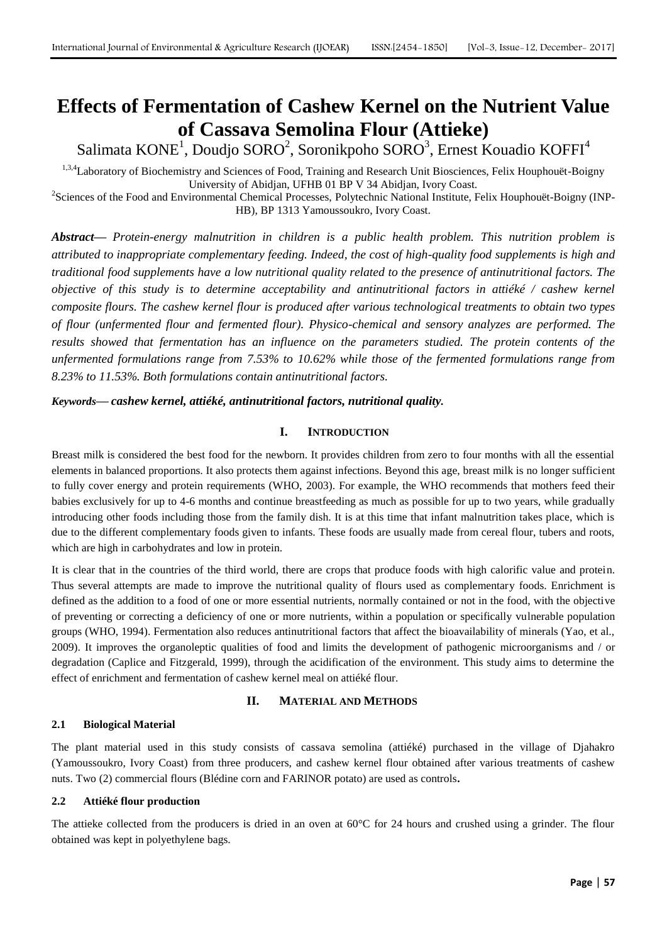# **Effects of Fermentation of Cashew Kernel on the Nutrient Value of Cassava Semolina Flour (Attieke)**

Salimata  $\text{KONE}^1$ , Doudjo SORO $^2$ , Soronikpoho SORO $^3$ , Ernest Kouadio KOFFI<sup>4</sup>

1,3,4Laboratory of Biochemistry and Sciences of Food, Training and Research Unit Biosciences, Felix Houphouët-Boigny University of Abidjan, UFHB 01 BP V 34 Abidjan, Ivory Coast.

<sup>2</sup>Sciences of the Food and Environmental Chemical Processes, Polytechnic National Institute, Felix Houphouët-Boigny (INP-HB), BP 1313 Yamoussoukro, Ivory Coast.

*Abstract***—** *Protein-energy malnutrition in children is a public health problem. This nutrition problem is attributed to inappropriate complementary feeding. Indeed, the cost of high-quality food supplements is high and traditional food supplements have a low nutritional quality related to the presence of antinutritional factors. The objective of this study is to determine acceptability and antinutritional factors in attiéké / cashew kernel composite flours. The cashew kernel flour is produced after various technological treatments to obtain two types of flour (unfermented flour and fermented flour). Physico-chemical and sensory analyzes are performed. The results showed that fermentation has an influence on the parameters studied. The protein contents of the unfermented formulations range from 7.53% to 10.62% while those of the fermented formulations range from 8.23% to 11.53%. Both formulations contain antinutritional factors.*

# *Keywords***—** *cashew kernel, attiéké, antinutritional factors, nutritional quality.*

# **I. INTRODUCTION**

Breast milk is considered the best food for the newborn. It provides children from zero to four months with all the essential elements in balanced proportions. It also protects them against infections. Beyond this age, breast milk is no longer sufficient to fully cover energy and protein requirements (WHO, 2003). For example, the WHO recommends that mothers feed their babies exclusively for up to 4-6 months and continue breastfeeding as much as possible for up to two years, while gradually introducing other foods including those from the family dish. It is at this time that infant malnutrition takes place, which is due to the different complementary foods given to infants. These foods are usually made from cereal flour, tubers and roots, which are high in carbohydrates and low in protein.

It is clear that in the countries of the third world, there are crops that produce foods with high calorific value and protein. Thus several attempts are made to improve the nutritional quality of flours used as complementary foods. Enrichment is defined as the addition to a food of one or more essential nutrients, normally contained or not in the food, with the objective of preventing or correcting a deficiency of one or more nutrients, within a population or specifically vulnerable population groups (WHO, 1994). Fermentation also reduces antinutritional factors that affect the bioavailability of minerals (Yao, et al., 2009). It improves the organoleptic qualities of food and limits the development of pathogenic microorganisms and / or degradation (Caplice and Fitzgerald, 1999), through the acidification of the environment. This study aims to determine the effect of enrichment and fermentation of cashew kernel meal on attiéké flour.

# **II. MATERIAL AND METHODS**

# **2.1 Biological Material**

The plant material used in this study consists of cassava semolina (attiéké) purchased in the village of Djahakro (Yamoussoukro, Ivory Coast) from three producers, and cashew kernel flour obtained after various treatments of cashew nuts. Two (2) commercial flours (Blédine corn and FARINOR potato) are used as controls**.**

# **2.2 Attiéké flour production**

The attieke collected from the producers is dried in an oven at  $60^{\circ}$ C for 24 hours and crushed using a grinder. The flour obtained was kept in polyethylene bags.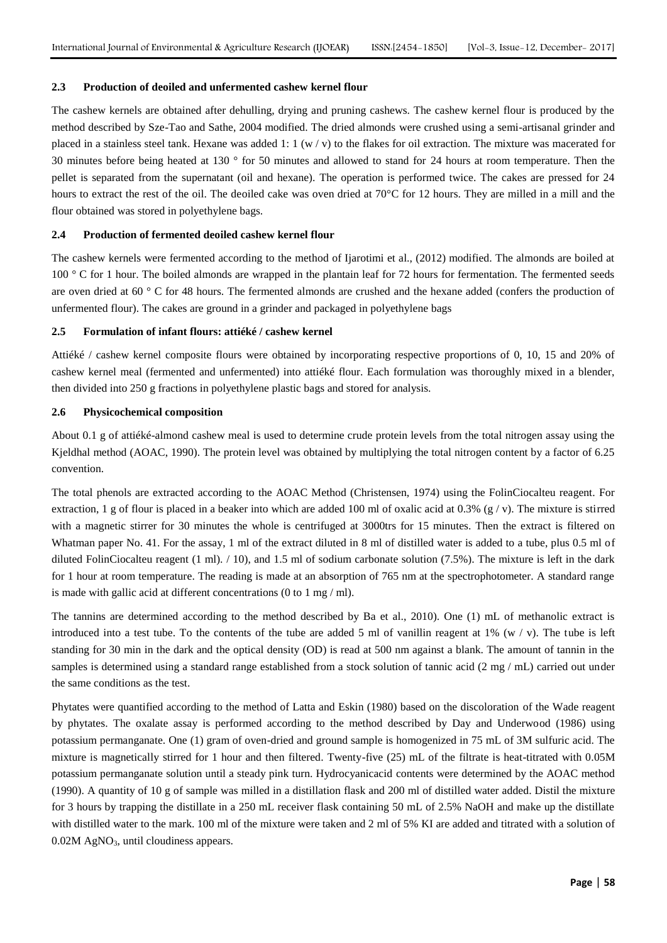#### **2.3 Production of deoiled and unfermented cashew kernel flour**

The cashew kernels are obtained after dehulling, drying and pruning cashews. The cashew kernel flour is produced by the method described by Sze-Tao and Sathe, 2004 modified. The dried almonds were crushed using a semi-artisanal grinder and placed in a stainless steel tank. Hexane was added 1:  $1 \, (w / v)$  to the flakes for oil extraction. The mixture was macerated for 30 minutes before being heated at 130 ° for 50 minutes and allowed to stand for 24 hours at room temperature. Then the pellet is separated from the supernatant (oil and hexane). The operation is performed twice. The cakes are pressed for 24 hours to extract the rest of the oil. The deoiled cake was oven dried at 70<sup>o</sup>C for 12 hours. They are milled in a mill and the flour obtained was stored in polyethylene bags.

#### **2.4 Production of fermented deoiled cashew kernel flour**

The cashew kernels were fermented according to the method of Ijarotimi et al., (2012) modified. The almonds are boiled at 100 ° C for 1 hour. The boiled almonds are wrapped in the plantain leaf for 72 hours for fermentation. The fermented seeds are oven dried at 60 ° C for 48 hours. The fermented almonds are crushed and the hexane added (confers the production of unfermented flour). The cakes are ground in a grinder and packaged in polyethylene bags

#### **2.5 Formulation of infant flours: attiéké / cashew kernel**

Attiéké / cashew kernel composite flours were obtained by incorporating respective proportions of 0, 10, 15 and 20% of cashew kernel meal (fermented and unfermented) into attiéké flour. Each formulation was thoroughly mixed in a blender, then divided into 250 g fractions in polyethylene plastic bags and stored for analysis.

### **2.6 Physicochemical composition**

About 0.1 g of attiéké-almond cashew meal is used to determine crude protein levels from the total nitrogen assay using the Kjeldhal method (AOAC, 1990). The protein level was obtained by multiplying the total nitrogen content by a factor of 6.25 convention.

The total phenols are extracted according to the AOAC Method (Christensen, 1974) using the FolinCiocalteu reagent. For extraction, 1 g of flour is placed in a beaker into which are added 100 ml of oxalic acid at 0.3% (g/v). The mixture is stirred with a magnetic stirrer for 30 minutes the whole is centrifuged at 3000trs for 15 minutes. Then the extract is filtered on Whatman paper No. 41. For the assay, 1 ml of the extract diluted in 8 ml of distilled water is added to a tube, plus 0.5 ml of diluted FolinCiocalteu reagent  $(1 \text{ ml})$ .  $/ 10$ , and 1.5 ml of sodium carbonate solution  $(7.5\%)$ . The mixture is left in the dark for 1 hour at room temperature. The reading is made at an absorption of 765 nm at the spectrophotometer. A standard range is made with gallic acid at different concentrations (0 to 1 mg / ml).

The tannins are determined according to the method described by Ba et al., 2010). One (1) mL of methanolic extract is introduced into a test tube. To the contents of the tube are added 5 ml of vanillin reagent at 1% (w / v). The tube is left standing for 30 min in the dark and the optical density (OD) is read at 500 nm against a blank. The amount of tannin in the samples is determined using a standard range established from a stock solution of tannic acid (2 mg / mL) carried out under the same conditions as the test.

Phytates were quantified according to the method of Latta and Eskin (1980) based on the discoloration of the Wade reagent by phytates. The oxalate assay is performed according to the method described by Day and Underwood (1986) using potassium permanganate. One (1) gram of oven-dried and ground sample is homogenized in 75 mL of 3M sulfuric acid. The mixture is magnetically stirred for 1 hour and then filtered. Twenty-five (25) mL of the filtrate is heat-titrated with 0.05M potassium permanganate solution until a steady pink turn. Hydrocyanicacid contents were determined by the AOAC method (1990). A quantity of 10 g of sample was milled in a distillation flask and 200 ml of distilled water added. Distil the mixture for 3 hours by trapping the distillate in a 250 mL receiver flask containing 50 mL of 2.5% NaOH and make up the distillate with distilled water to the mark. 100 ml of the mixture were taken and 2 ml of 5% KI are added and titrated with a solution of  $0.02M$  AgNO<sub>3</sub>, until cloudiness appears.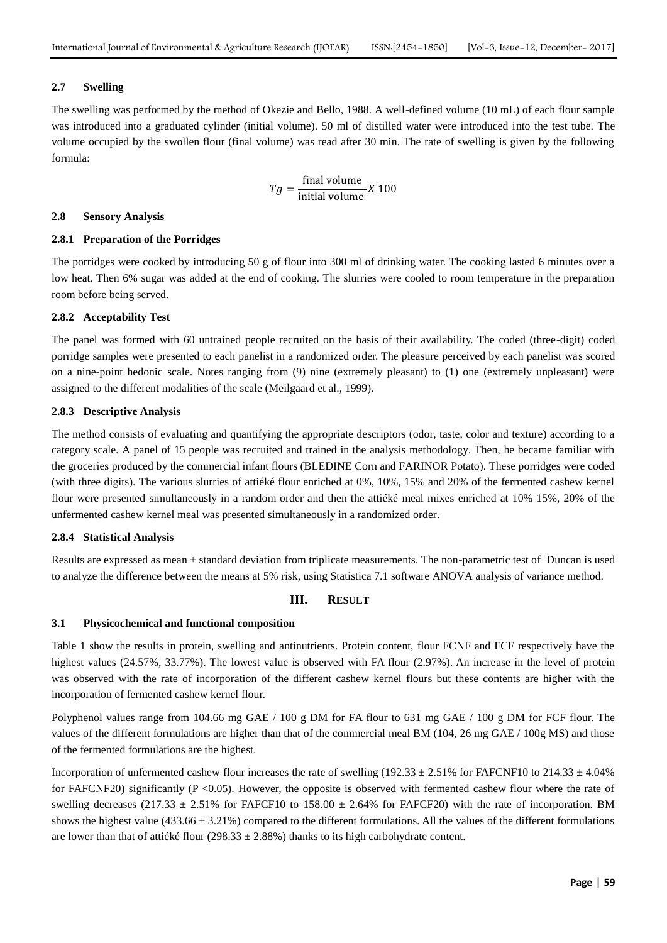#### **2.7 Swelling**

The swelling was performed by the method of Okezie and Bello, 1988. A well-defined volume (10 mL) of each flour sample was introduced into a graduated cylinder (initial volume). 50 ml of distilled water were introduced into the test tube. The volume occupied by the swollen flour (final volume) was read after 30 min. The rate of swelling is given by the following formula:

$$
Tg = \frac{\text{final volume}}{\text{initial volume}} X 100
$$

#### **2.8 Sensory Analysis**

#### **2.8.1 Preparation of the Porridges**

The porridges were cooked by introducing 50 g of flour into 300 ml of drinking water. The cooking lasted 6 minutes over a low heat. Then 6% sugar was added at the end of cooking. The slurries were cooled to room temperature in the preparation room before being served.

#### **2.8.2 Acceptability Test**

The panel was formed with 60 untrained people recruited on the basis of their availability. The coded (three-digit) coded porridge samples were presented to each panelist in a randomized order. The pleasure perceived by each panelist was scored on a nine-point hedonic scale. Notes ranging from (9) nine (extremely pleasant) to (1) one (extremely unpleasant) were assigned to the different modalities of the scale (Meilgaard et al., 1999).

#### **2.8.3 Descriptive Analysis**

The method consists of evaluating and quantifying the appropriate descriptors (odor, taste, color and texture) according to a category scale. A panel of 15 people was recruited and trained in the analysis methodology. Then, he became familiar with the groceries produced by the commercial infant flours (BLEDINE Corn and FARINOR Potato). These porridges were coded (with three digits). The various slurries of attiéké flour enriched at 0%, 10%, 15% and 20% of the fermented cashew kernel flour were presented simultaneously in a random order and then the attiéké meal mixes enriched at 10% 15%, 20% of the unfermented cashew kernel meal was presented simultaneously in a randomized order.

#### **2.8.4 Statistical Analysis**

Results are expressed as mean ± standard deviation from triplicate measurements. The non-parametric test of Duncan is used to analyze the difference between the means at 5% risk, using Statistica 7.1 software ANOVA analysis of variance method.

#### **III. RESULT**

#### **3.1 Physicochemical and functional composition**

Table 1 show the results in protein, swelling and antinutrients. Protein content, flour FCNF and FCF respectively have the highest values (24.57%, 33.77%). The lowest value is observed with FA flour (2.97%). An increase in the level of protein was observed with the rate of incorporation of the different cashew kernel flours but these contents are higher with the incorporation of fermented cashew kernel flour.

Polyphenol values range from 104.66 mg GAE / 100 g DM for FA flour to 631 mg GAE / 100 g DM for FCF flour. The values of the different formulations are higher than that of the commercial meal BM (104, 26 mg GAE / 100g MS) and those of the fermented formulations are the highest.

Incorporation of unfermented cashew flour increases the rate of swelling (192.33  $\pm$  2.51% for FAFCNF10 to 214.33  $\pm$  4.04% for FAFCNF20) significantly (P <0.05). However, the opposite is observed with fermented cashew flour where the rate of swelling decreases (217.33  $\pm$  2.51% for FAFCF10 to 158.00  $\pm$  2.64% for FAFCF20) with the rate of incorporation. BM shows the highest value ( $433.66 \pm 3.21\%$ ) compared to the different formulations. All the values of the different formulations are lower than that of attiéké flour (298.33  $\pm$  2.88%) thanks to its high carbohydrate content.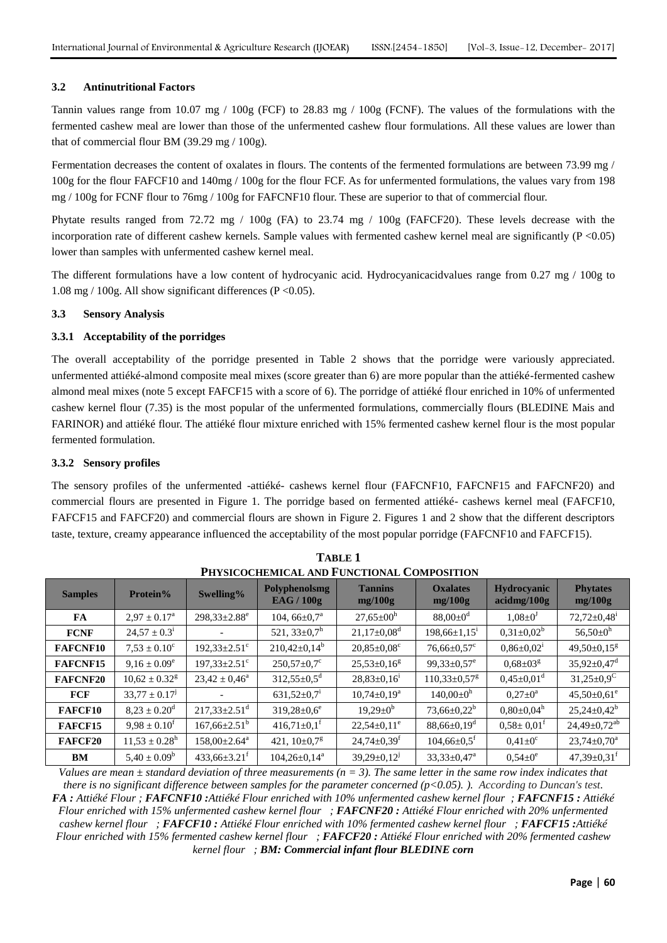## **3.2 Antinutritional Factors**

Tannin values range from 10.07 mg / 100g (FCF) to 28.83 mg / 100g (FCNF). The values of the formulations with the fermented cashew meal are lower than those of the unfermented cashew flour formulations. All these values are lower than that of commercial flour BM (39.29 mg / 100g).

Fermentation decreases the content of oxalates in flours. The contents of the fermented formulations are between 73.99 mg / 100g for the flour FAFCF10 and 140mg / 100g for the flour FCF. As for unfermented formulations, the values vary from 198 mg / 100g for FCNF flour to 76mg / 100g for FAFCNF10 flour. These are superior to that of commercial flour.

Phytate results ranged from 72.72 mg / 100g (FA) to 23.74 mg / 100g (FAFCF20). These levels decrease with the incorporation rate of different cashew kernels. Sample values with fermented cashew kernel meal are significantly ( $P < 0.05$ ) lower than samples with unfermented cashew kernel meal.

The different formulations have a low content of hydrocyanic acid. Hydrocyanicacidvalues range from 0.27 mg / 100g to 1.08 mg / 100g. All show significant differences (P <0.05).

## **3.3 Sensory Analysis**

## **3.3.1 Acceptability of the porridges**

The overall acceptability of the porridge presented in Table 2 shows that the porridge were variously appreciated. unfermented attiéké-almond composite meal mixes (score greater than 6) are more popular than the attiéké-fermented cashew almond meal mixes (note 5 except FAFCF15 with a score of 6). The porridge of attiéké flour enriched in 10% of unfermented cashew kernel flour (7.35) is the most popular of the unfermented formulations, commercially flours (BLEDINE Mais and FARINOR) and attiéké flour. The attiéké flour mixture enriched with 15% fermented cashew kernel flour is the most popular fermented formulation.

## **3.3.2 Sensory profiles**

The sensory profiles of the unfermented -attiéké- cashews kernel flour (FAFCNF10, FAFCNF15 and FAFCNF20) and commercial flours are presented in Figure 1. The porridge based on fermented attiéké- cashews kernel meal (FAFCF10, FAFCF15 and FAFCF20) and commercial flours are shown in Figure 2. Figures 1 and 2 show that the different descriptors taste, texture, creamy appearance influenced the acceptability of the most popular porridge (FAFCNF10 and FAFCF15).

| FRYSICOCHEMICAL AND FUNCTIONAL COMPOSITION |                               |                                |                                           |                               |                                |                                   |                                |  |
|--------------------------------------------|-------------------------------|--------------------------------|-------------------------------------------|-------------------------------|--------------------------------|-----------------------------------|--------------------------------|--|
| <b>Samples</b>                             | Protein%                      | Swelling%                      | <b>Polyphenolsmg</b><br><b>EAG / 100g</b> | <b>Tannins</b><br>mg/100g     | <b>Oxalates</b><br>mg/100g     | <b>Hydrocyanic</b><br>acidmg/100g | <b>Phytates</b><br>mg/100g     |  |
| FA                                         | $2.97 \pm 0.17^{\text{a}}$    | $298,33 \pm 2.88$ <sup>e</sup> | 104, $66\pm0.7^{\text{a}}$                | $27,65 \pm 00^{\rm h}$        | $88,00 \pm 0^{\rm d}$          | $1,08 \pm 0^3$                    | $72,72 \pm 0,48$ <sup>i</sup>  |  |
| <b>FCNF</b>                                | $24,57 \pm 0.3^{\text{i}}$    |                                | 521, $33\pm0.7$ <sup>h</sup>              | $21,17\pm0.08^d$              | $198,66 \pm 1,15$ <sup>1</sup> | $0,31\pm0,02^b$                   | $56,50\pm0^{\rm h}$            |  |
| <b>FAFCNF10</b>                            | $7.53 \pm 0.10^c$             | $192,33 \pm 2.51$ <sup>c</sup> | $210,42\pm0,14^b$                         | $20,85 \pm 0,08$ <sup>c</sup> | $76,66 \pm 0,57$ °             | $0.86 \pm 0.02$ <sup>1</sup>      | $49,50\pm0,15^g$               |  |
| FAFCNF15                                   | $9.16 \pm 0.09^e$             | $197,33 \pm 2.51$ <sup>c</sup> | $250,57 \pm 0.7$ °                        | $25,53\pm0,16^8$              | $99,33 \pm 0.57$ <sup>e</sup>  | $0.68 \pm 03^8$                   | $35,92 \pm 0,47$ <sup>d</sup>  |  |
| <b>FAFCNF20</b>                            | $10,62 \pm 0.32$ <sup>g</sup> | $23,42 \pm 0,46^{\circ}$       | $312,55 \pm 0.5$ <sup>d</sup>             | $28,83\pm0,16^1$              | $110,33\pm0,57^g$              | $0.45 \pm 0.01$ <sup>d</sup>      | $31,25 \pm 0.9$ <sup>C</sup>   |  |
| <b>FCF</b>                                 | $33,77 \pm 0.17$ <sup>J</sup> |                                | $631,52\pm0.7$ <sup>1</sup>               | $10,74\pm0,19^a$              | $140,00 \pm 0^h$               | $0.27 \pm 0^{\rm a}$              | $45,50 \pm 0,61$ <sup>e</sup>  |  |
| <b>FAFCF10</b>                             | $8.23 \pm 0.20^{\rm d}$       | $217,33 \pm 2.51$ <sup>d</sup> | $319,28 \pm 0.6^e$                        | $19,29 \pm 0^b$               | $73,66 \pm 0,22^b$             | $0,80\pm0,04^h$                   | $25,24\pm0,42^b$               |  |
| FAFCF15                                    | $9.98 \pm 0.10^{\text{t}}$    | $167,66 \pm 2.51^{\circ}$      | $416,71\pm0,1$ <sup>f</sup>               | $22,54 \pm 0,11$ <sup>e</sup> | $88,66 \pm 0,19$ <sup>d</sup>  | $0.58 \pm 0.01^{\text{t}}$        | $24,49 \pm 0,72$ <sup>ab</sup> |  |
| <b>FAFCF20</b>                             | $11,53 \pm 0.28$ <sup>h</sup> | $158,00\pm2.64^a$              | 421, $10\pm0.7^g$                         | $24,74\pm0,39$ <sup>t</sup>   | $104,66 \pm 0.5$ <sup>f</sup>  | $0.41 \pm 0^{\circ}$              | $23,74 \pm 0,70^a$             |  |
| <b>BM</b>                                  | $5,40 \pm 0.09^b$             | $433,66\pm3.21$ <sup>t</sup>   | $104,26 \pm 0,14^a$                       | $39,29 \pm 0,12$ <sup>J</sup> | $33,33\pm0,47^{\rm a}$         | $0.54 \pm 0^e$                    | $47,39 \pm 0,31$ <sup>t</sup>  |  |

| <b>TABLE 1</b>                             |
|--------------------------------------------|
| PHYSICOCHEMICAL AND FUNCTIONAL COMPOSITION |

*Values are mean*  $\pm$  *standard deviation of three measurements (n = 3). The same letter in the same row index indicates that there is no significant difference between samples for the parameter concerned (p<0.05). ). According to Duncan's test. FA : Attiéké Flour ; FAFCNF10 :Attiéké Flour enriched with 10% unfermented cashew kernel flour ; FAFCNF15 : Attiéké Flour enriched with 15% unfermented cashew kernel flour ; FAFCNF20 : Attiéké Flour enriched with 20% unfermented cashew kernel flour ; FAFCF10 : Attiéké Flour enriched with 10% fermented cashew kernel flour ; FAFCF15 :Attiéké Flour enriched with 15% fermented cashew kernel flour ; FAFCF20 : Attiéké Flour enriched with 20% fermented cashew kernel flour ; BM: Commercial infant flour BLEDINE corn*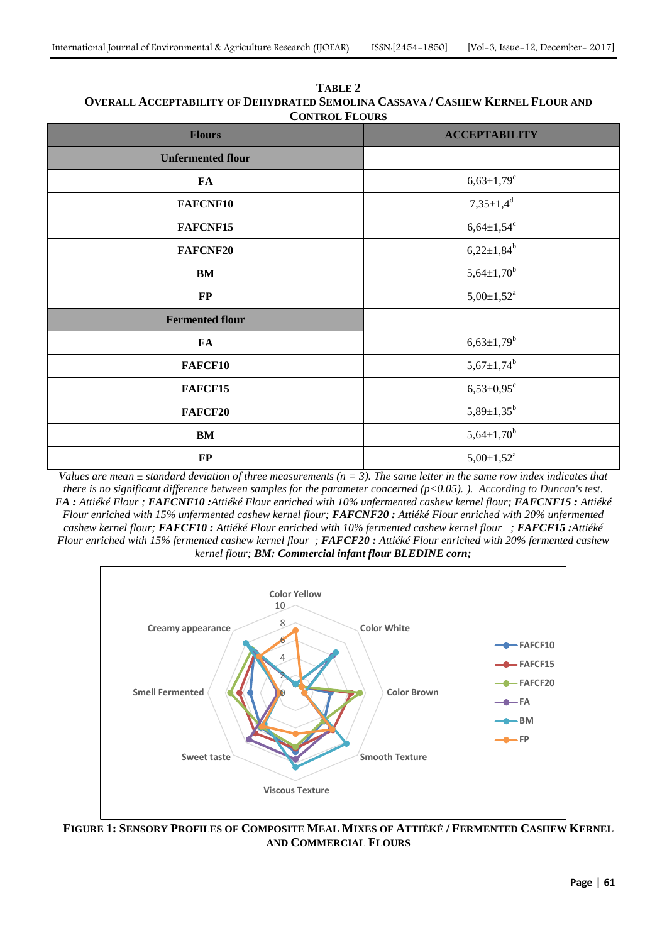| <b>CONTROL FLOURS</b>    |                              |  |  |  |  |
|--------------------------|------------------------------|--|--|--|--|
| <b>Flours</b>            | <b>ACCEPTABILITY</b>         |  |  |  |  |
| <b>Unfermented flour</b> |                              |  |  |  |  |
| FA                       | $6,63{\pm}1,79^c$            |  |  |  |  |
| FAFCNF10                 | $7,35 \pm 1,4^d$             |  |  |  |  |
| FAFCNF15                 | $6,64{\pm}1,54^c$            |  |  |  |  |
| <b>FAFCNF20</b>          | $6,22 \pm 1,84^b$            |  |  |  |  |
| BM                       | $5,64 \pm 1,70^{b}$          |  |  |  |  |
| $\bf FP$                 | $5,00 \pm 1,52$ <sup>a</sup> |  |  |  |  |
| <b>Fermented flour</b>   |                              |  |  |  |  |
| FA                       | $6,63{\pm}1,79^{b}$          |  |  |  |  |
| <b>FAFCF10</b>           | $5,67{\pm}1,74^{b}$          |  |  |  |  |
| FAFCF15                  | $6,53{\pm}0,95^{\circ}$      |  |  |  |  |
| <b>FAFCF20</b>           | $5,89{\pm}1,35^{b}$          |  |  |  |  |
| $\mathbf{BM}$            | $5,64{\pm}1,70^b$            |  |  |  |  |
| $\bf FP$                 | $5,00 \pm 1,52$ <sup>a</sup> |  |  |  |  |

**TABLE 2 OVERALL ACCEPTABILITY OF DEHYDRATED SEMOLINA CASSAVA / CASHEW KERNEL FLOUR AND CONTROL FLOURS**

*Values are mean*  $\pm$  *standard deviation of three measurements (n = 3). The same letter in the same row index indicates that there is no significant difference between samples for the parameter concerned (p<0.05). ). According to Duncan's test. FA : Attiéké Flour ; FAFCNF10 :Attiéké Flour enriched with 10% unfermented cashew kernel flour; FAFCNF15 : Attiéké Flour enriched with 15% unfermented cashew kernel flour; FAFCNF20 : Attiéké Flour enriched with 20% unfermented cashew kernel flour; FAFCF10 : Attiéké Flour enriched with 10% fermented cashew kernel flour ; FAFCF15 :Attiéké Flour enriched with 15% fermented cashew kernel flour ; FAFCF20 : Attiéké Flour enriched with 20% fermented cashew kernel flour; BM: Commercial infant flour BLEDINE corn;*



FIGURE 1: SENSORY PROFILES OF COMPOSITE MEAL MIXES OF ATTIÉKÉ / FERMENTED CASHEW KERNEL **AND COMMERCIAL FLOURS**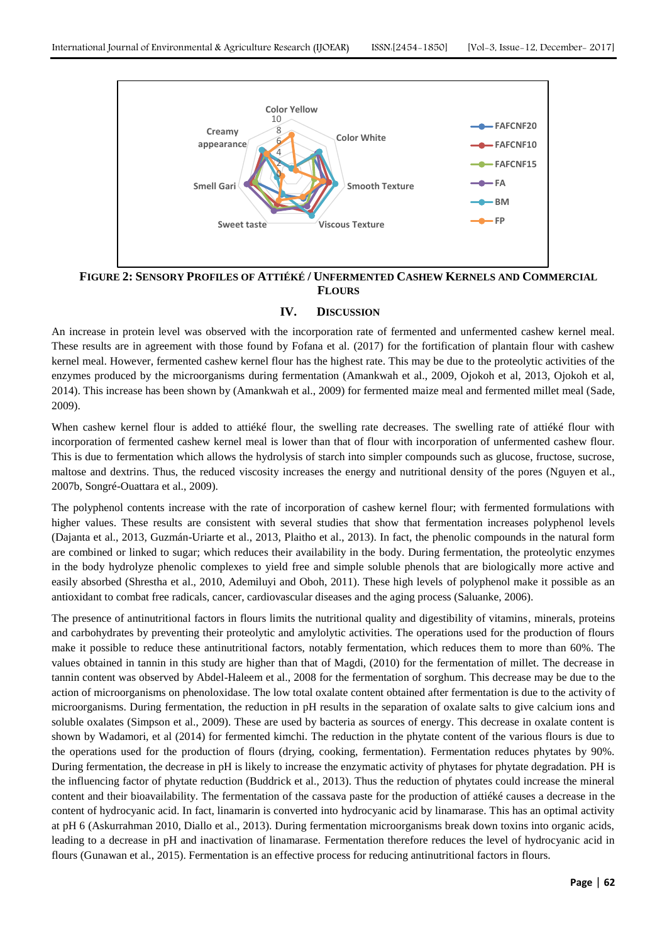

**FIGURE 2: SENSORY PROFILES OF ATTIÉKÉ / UNFERMENTED CASHEW KERNELS AND COMMERCIAL FLOURS**

## **IV. DISCUSSION**

An increase in protein level was observed with the incorporation rate of fermented and unfermented cashew kernel meal. These results are in agreement with those found by Fofana et al. (2017) for the fortification of plantain flour with cashew kernel meal. However, fermented cashew kernel flour has the highest rate. This may be due to the proteolytic activities of the enzymes produced by the microorganisms during fermentation (Amankwah et al., 2009, Ojokoh et al, 2013, Ojokoh et al, 2014). This increase has been shown by (Amankwah et al., 2009) for fermented maize meal and fermented millet meal (Sade, 2009).

When cashew kernel flour is added to attiéké flour, the swelling rate decreases. The swelling rate of attiéké flour with incorporation of fermented cashew kernel meal is lower than that of flour with incorporation of unfermented cashew flour. This is due to fermentation which allows the hydrolysis of starch into simpler compounds such as glucose, fructose, sucrose, maltose and dextrins. Thus, the reduced viscosity increases the energy and nutritional density of the pores (Nguyen et al., 2007b, Songré-Ouattara et al., 2009).

The polyphenol contents increase with the rate of incorporation of cashew kernel flour; with fermented formulations with higher values. These results are consistent with several studies that show that fermentation increases polyphenol levels (Dajanta et al., 2013, Guzmán-Uriarte et al., 2013, Plaitho et al., 2013). In fact, the phenolic compounds in the natural form are combined or linked to sugar; which reduces their availability in the body. During fermentation, the proteolytic enzymes in the body hydrolyze phenolic complexes to yield free and simple soluble phenols that are biologically more active and easily absorbed (Shrestha et al., 2010, Ademiluyi and Oboh, 2011). These high levels of polyphenol make it possible as an antioxidant to combat free radicals, cancer, cardiovascular diseases and the aging process (Saluanke, 2006).

The presence of antinutritional factors in flours limits the nutritional quality and digestibility of vitamins, minerals, proteins and carbohydrates by preventing their proteolytic and amylolytic activities. The operations used for the production of flours make it possible to reduce these antinutritional factors, notably fermentation, which reduces them to more than 60%. The values obtained in tannin in this study are higher than that of Magdi, (2010) for the fermentation of millet. The decrease in tannin content was observed by Abdel-Haleem et al., 2008 for the fermentation of sorghum. This decrease may be due to the action of microorganisms on phenoloxidase. The low total oxalate content obtained after fermentation is due to the activity of microorganisms. During fermentation, the reduction in pH results in the separation of oxalate salts to give calcium ions and soluble oxalates (Simpson et al., 2009). These are used by bacteria as sources of energy. This decrease in oxalate content is shown by Wadamori, et al (2014) for fermented kimchi. The reduction in the phytate content of the various flours is due to the operations used for the production of flours (drying, cooking, fermentation). Fermentation reduces phytates by 90%. During fermentation, the decrease in pH is likely to increase the enzymatic activity of phytases for phytate degradation. PH is the influencing factor of phytate reduction (Buddrick et al., 2013). Thus the reduction of phytates could increase the mineral content and their bioavailability. The fermentation of the cassava paste for the production of attiéké causes a decrease in the content of hydrocyanic acid. In fact, linamarin is converted into hydrocyanic acid by linamarase. This has an optimal activity at pH 6 (Askurrahman 2010, Diallo et al., 2013). During fermentation microorganisms break down toxins into organic acids, leading to a decrease in pH and inactivation of linamarase. Fermentation therefore reduces the level of hydrocyanic acid in flours (Gunawan et al., 2015). Fermentation is an effective process for reducing antinutritional factors in flours.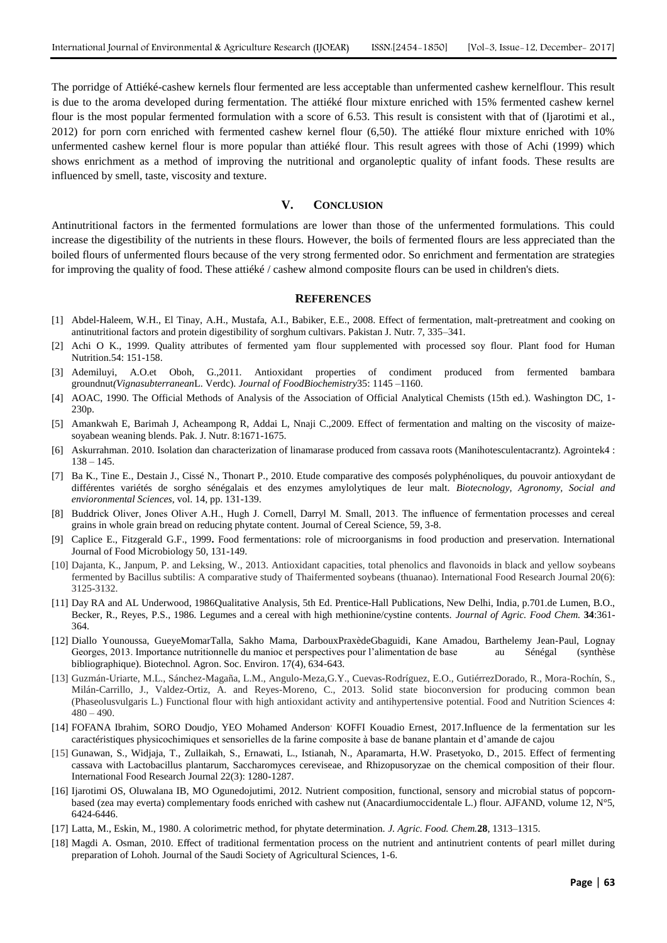The porridge of Attiéké-cashew kernels flour fermented are less acceptable than unfermented cashew kernelflour. This result is due to the aroma developed during fermentation. The attiéké flour mixture enriched with 15% fermented cashew kernel flour is the most popular fermented formulation with a score of 6.53. This result is consistent with that of (Ijarotimi et al., 2012) for porn corn enriched with fermented cashew kernel flour (6,50). The attiéké flour mixture enriched with 10% unfermented cashew kernel flour is more popular than attiéké flour. This result agrees with those of Achi (1999) which shows enrichment as a method of improving the nutritional and organoleptic quality of infant foods. These results are influenced by smell, taste, viscosity and texture.

#### **V. CONCLUSION**

Antinutritional factors in the fermented formulations are lower than those of the unfermented formulations. This could increase the digestibility of the nutrients in these flours. However, the boils of fermented flours are less appreciated than the boiled flours of unfermented flours because of the very strong fermented odor. So enrichment and fermentation are strategies for improving the quality of food. These attiéké / cashew almond composite flours can be used in children's diets.

#### **REFERENCES**

- [1] Abdel-Haleem, W.H., El Tinay, A.H., Mustafa, A.I., Babiker, E.E., 2008. Effect of fermentation, malt-pretreatment and cooking on antinutritional factors and protein digestibility of sorghum cultivars. Pakistan J. Nutr. 7, 335–341.
- [2] Achi O K., 1999. Quality attributes of fermented yam flour supplemented with processed soy flour. Plant food for Human Nutrition.54: 151-158.
- [3] Ademiluyi, A.O.et Oboh, G.,2011. Antioxidant properties of condiment produced from fermented bambara groundnut*(Vignasubterranean*L. Verdc). *Journal of FoodBiochemistry*35: 1145 –1160.
- [4] AOAC, 1990. The Official Methods of Analysis of the Association of Official Analytical Chemists (15th ed.). Washington DC, 1- 230p.
- [5] Amankwah E, Barimah J, Acheampong R, Addai L, Nnaji C.,2009. Effect of fermentation and malting on the viscosity of maizesoyabean weaning blends. Pak. J. Nutr. 8:1671-1675.
- [6] Askurrahman. 2010. Isolation dan characterization of linamarase produced from cassava roots (Manihotesculentacrantz). Agrointek4 :  $138 - 145$ .
- [7] Ba K., Tine E., Destain J., Cissé N., Thonart P., 2010. Etude comparative des composés polyphénoliques, du pouvoir antioxydant de différentes variétés de sorgho sénégalais et des enzymes amylolytiques de leur malt. *Biotecnology, Agronomy, Social and envioronmental Sciences*, vol. 14, pp. 131-139.
- [8] Buddrick Oliver, Jones Oliver A.H., Hugh J. Cornell, Darryl M. Small, 2013. The influence of fermentation processes and cereal grains in whole grain bread on reducing phytate content. Journal of Cereal Science, 59, 3-8.
- [9] Caplice E., Fitzgerald G.F., 1999**.** Food fermentations: role of microorganisms in food production and preservation. International Journal of Food Microbiology 50, 131-149.
- [10] Dajanta, K., Janpum, P. and Leksing, W., 2013. Antioxidant capacities, total phenolics and flavonoids in black and yellow soybeans fermented by Bacillus subtilis: A comparative study of Thaifermented soybeans (thuanao). International Food Research Journal 20(6): 3125-3132.
- [11] Day RA and AL Underwood, 1986Qualitative Analysis, 5th Ed. Prentice-Hall Publications, New Delhi, India, p.701.de Lumen, B.O., Becker, R., Reyes, P.S., 1986. Legumes and a cereal with high methionine/cystine contents. *Journal of Agric. Food Chem.* **34**:361- 364.
- [12] Diallo Younoussa, GueyeMomarTalla, Sakho Mama, DarbouxPraxèdeGbaguidi, Kane Amadou, Barthelemy Jean-Paul, Lognay Georges, 2013. Importance nutritionnelle du manioc et perspectives pour l'alimentation de base au Sénégal (synthèse bibliographique). Biotechnol. Agron. Soc. Environ. 17(4), 634-643.
- [13] Guzmán-Uriarte, M.L., Sánchez-Magaña, L.M., Angulo-Meza,G.Y., Cuevas-Rodríguez, E.O., GutiérrezDorado, R., Mora-Rochín, S., Milán-Carrillo, J., Valdez-Ortiz, A. and Reyes-Moreno, C., 2013. Solid state bioconversion for producing common bean (Phaseolusvulgaris L.) Functional flour with high antioxidant activity and antihypertensive potential. Food and Nutrition Sciences 4:  $480 - 490.$
- [14] FOFANA Ibrahim, SORO Doudjo, YEO Mohamed Anderson<sup>,</sup> KOFFI Kouadio Ernest, 2017.Influence de la fermentation sur les caractéristiques physicochimiques et sensorielles de la farine composite à base de banane plantain et d'amande de cajou
- [15] Gunawan, S., Widjaja, T., Zullaikah, S., Ernawati, L., Istianah, N., Aparamarta, H.W. Prasetyoko, D., 2015. Effect of fermenting cassava with Lactobacillus plantarum, Saccharomyces cereviseae, and Rhizopusoryzae on the chemical composition of their flour. International Food Research Journal 22(3): 1280-1287.
- [16] Ijarotimi OS, Oluwalana IB, MO Ogunedojutimi, 2012. Nutrient composition, functional, sensory and microbial status of popcornbased (zea may everta) complementary foods enriched with cashew nut (Anacardiumoccidentale L.) flour. AJFAND, volume 12, N°5, 6424-6446.
- [17] Latta, M., Eskin, M., 1980. A colorimetric method, for phytate determination. *J. Agric. Food. Chem.***28**, 1313–1315.
- [18] Magdi A. Osman, 2010. Effect of traditional fermentation process on the nutrient and antinutrient contents of pearl millet during preparation of Lohoh. Journal of the Saudi Society of Agricultural Sciences, 1-6.